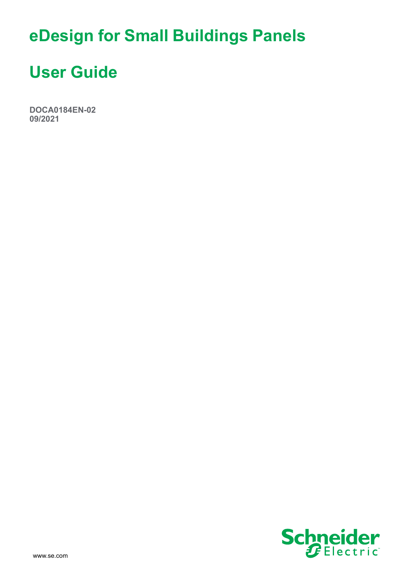# **eDesign for Small Buildings Panels**

# **User Guide**

**DOCA0184EN-02 09/2021**

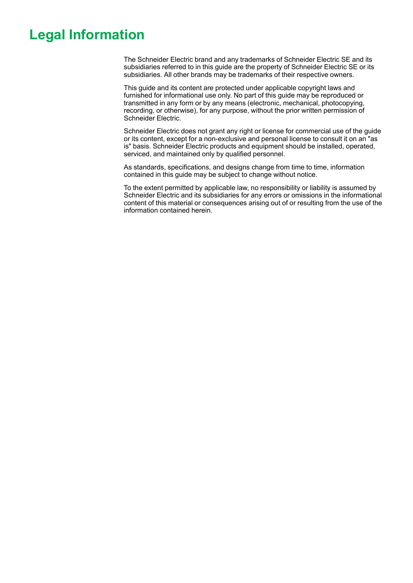# **Legal Information**

The Schneider Electric brand and any trademarks of Schneider Electric SE and its subsidiaries referred to in this guide are the property of Schneider Electric SE or its subsidiaries. All other brands may be trademarks of their respective owners.

This guide and its content are protected under applicable copyright laws and furnished for informational use only. No part of this guide may be reproduced or transmitted in any form or by any means (electronic, mechanical, photocopying, recording, or otherwise), for any purpose, without the prior written permission of Schneider Electric.

Schneider Electric does not grant any right or license for commercial use of the guide or its content, except for a non-exclusive and personal license to consult it on an "as is" basis. Schneider Electric products and equipment should be installed, operated, serviced, and maintained only by qualified personnel.

As standards, specifications, and designs change from time to time, information contained in this guide may be subject to change without notice.

To the extent permitted by applicable law, no responsibility or liability is assumed by Schneider Electric and its subsidiaries for any errors or omissions in the informational content of this material or consequences arising out of or resulting from the use of the information contained herein.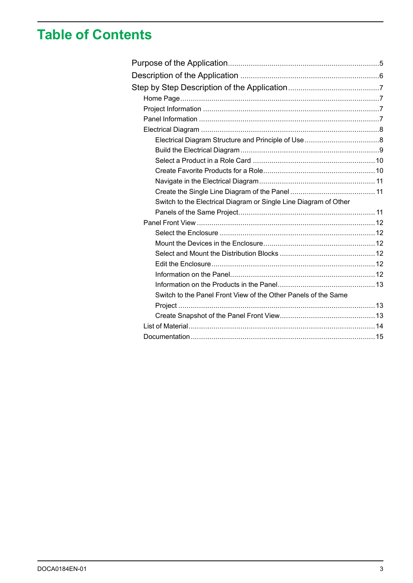# **Table of Contents**

| Switch to the Electrical Diagram or Single Line Diagram of Other |  |
|------------------------------------------------------------------|--|
|                                                                  |  |
|                                                                  |  |
|                                                                  |  |
|                                                                  |  |
|                                                                  |  |
|                                                                  |  |
|                                                                  |  |
|                                                                  |  |
| Switch to the Panel Front View of the Other Panels of the Same   |  |
|                                                                  |  |
|                                                                  |  |
|                                                                  |  |
|                                                                  |  |
|                                                                  |  |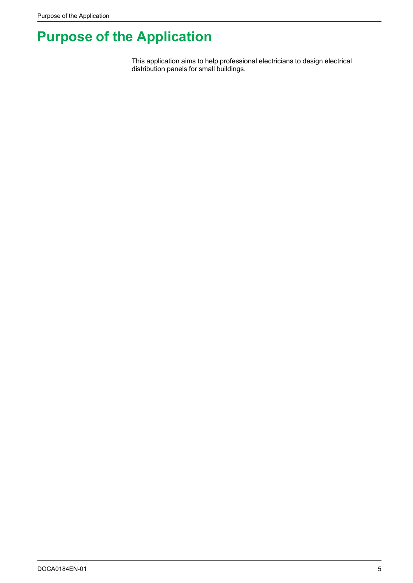# <span id="page-4-0"></span>**Purpose of the Application**

This application aims to help professional electricians to design electrical distribution panels for small buildings.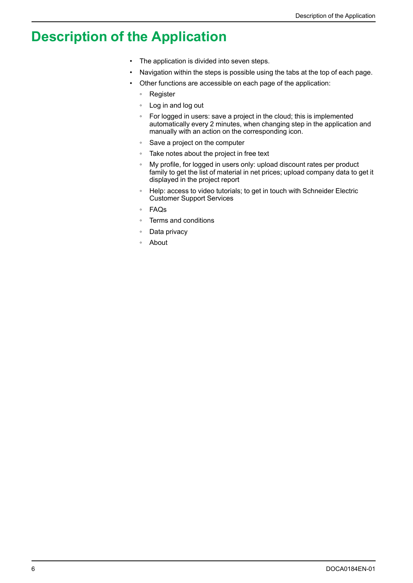# <span id="page-5-0"></span>**Description of the Application**

- The application is divided into seven steps.
- Navigation within the steps is possible using the tabs at the top of each page.
- Other functions are accessible on each page of the application:
	- Register
	- Log in and log out
	- For logged in users: save a project in the cloud; this is implemented automatically every 2 minutes, when changing step in the application and manually with an action on the corresponding icon.
	- Save a project on the computer
	- Take notes about the project in free text
	- My profile, for logged in users only: upload discount rates per product family to get the list of material in net prices; upload company data to get it displayed in the project report
	- Help: access to video tutorials; to get in touch with Schneider Electric Customer Support Services
	- FAQs
	- Terms and conditions
	- Data privacy
	- About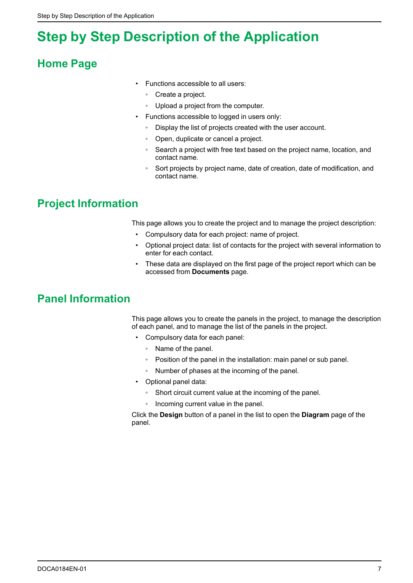# <span id="page-6-0"></span>**Step by Step Description of the Application**

## <span id="page-6-1"></span>**Home Page**

- Functions accessible to all users:
	- Create a project.
- Upload a project from the computer.
- Functions accessible to logged in users only:
	- Display the list of projects created with the user account.
	- Open, duplicate or cancel a project.
	- Search a project with free text based on the project name, location, and contact name.
	- Sort projects by project name, date of creation, date of modification, and contact name.

## <span id="page-6-2"></span>**Project Information**

This page allows you to create the project and to manage the project description:

- Compulsory data for each project: name of project.
- Optional project data: list of contacts for the project with several information to enter for each contact.
- These data are displayed on the first page of the project report which can be accessed from **Documents** page.

## <span id="page-6-3"></span>**Panel Information**

This page allows you to create the panels in the project, to manage the description of each panel, and to manage the list of the panels in the project.

- Compulsory data for each panel:
	- Name of the panel.
	- Position of the panel in the installation: main panel or sub panel.
	- Number of phases at the incoming of the panel.
- Optional panel data:
	- Short circuit current value at the incoming of the panel.
	- Incoming current value in the panel.

Click the **Design** button of a panel in the list to open the **Diagram** page of the panel.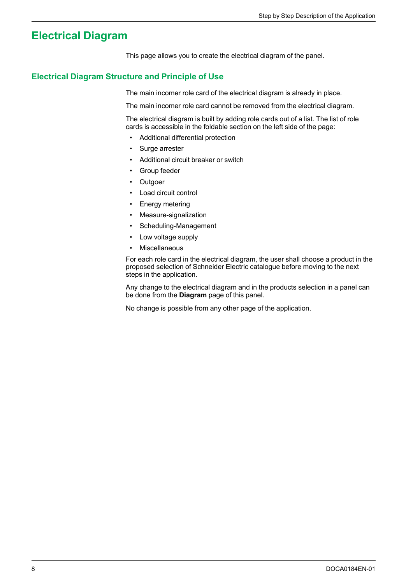## <span id="page-7-0"></span>**Electrical Diagram**

This page allows you to create the electrical diagram of the panel.

### <span id="page-7-1"></span>**Electrical Diagram Structure and Principle of Use**

The main incomer role card of the electrical diagram is already in place.

The main incomer role card cannot be removed from the electrical diagram.

The electrical diagram is built by adding role cards out of a list. The list of role cards is accessible in the foldable section on the left side of the page:

- Additional differential protection
- Surge arrester
- Additional circuit breaker or switch
- Group feeder
- Outgoer
- Load circuit control
- Energy metering
- Measure-signalization
- Scheduling-Management
- Low voltage supply
- **Miscellaneous**

For each role card in the electrical diagram, the user shall choose a product in the proposed selection of Schneider Electric catalogue before moving to the next steps in the application.

Any change to the electrical diagram and in the products selection in a panel can be done from the **Diagram** page of this panel.

No change is possible from any other page of the application.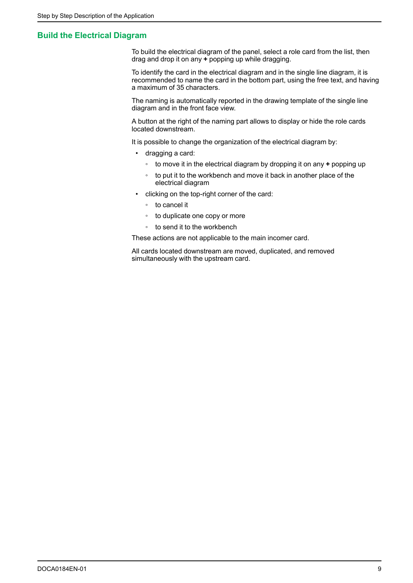### <span id="page-8-0"></span>**Build the Electrical Diagram**

To build the electrical diagram of the panel, select a role card from the list, then drag and drop it on any **+** popping up while dragging.

To identify the card in the electrical diagram and in the single line diagram, it is recommended to name the card in the bottom part, using the free text, and having a maximum of 35 characters.

The naming is automatically reported in the drawing template of the single line diagram and in the front face view.

A button at the right of the naming part allows to display or hide the role cards located downstream.

It is possible to change the organization of the electrical diagram by:

- dragging a card:
	- to move it in the electrical diagram by dropping it on any **+** popping up
	- to put it to the workbench and move it back in another place of the electrical diagram
- clicking on the top-right corner of the card:
	- to cancel it
	- to duplicate one copy or more
	- to send it to the workbench

These actions are not applicable to the main incomer card.

All cards located downstream are moved, duplicated, and removed simultaneously with the upstream card.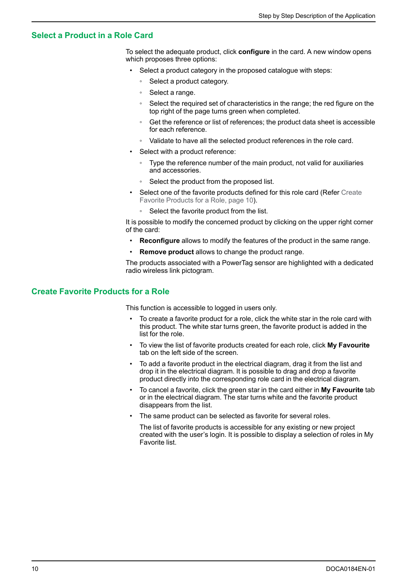### <span id="page-9-0"></span>**Select a Product in a Role Card**

To select the adequate product, click **configure** in the card. A new window opens which proposes three options:

- Select a product category in the proposed catalogue with steps:
	- Select a product category.
	- Select a range.
	- Select the required set of characteristics in the range; the red figure on the top right of the page turns green when completed.
	- Get the reference or list of references; the product data sheet is accessible for each reference.
	- Validate to have all the selected product references in the role card.
- Select with a product reference:
	- Type the reference number of the main product, not valid for auxiliaries and accessories.
	- Select the product from the proposed list.
- Select one of the favorite products defined for this role card (Refer [Create](#page-9-1) Favorite [Products](#page-9-1) for a Role, page 10).
	- Select the favorite product from the list.

It is possible to modify the concerned product by clicking on the upper right corner of the card:

- **Reconfigure** allows to modify the features of the product in the same range.
- **Remove product** allows to change the product range.

The products associated with a PowerTag sensor are highlighted with a dedicated radio wireless link pictogram.

#### <span id="page-9-1"></span>**Create Favorite Products for a Role**

This function is accessible to logged in users only.

- To create a favorite product for a role, click the white star in the role card with this product. The white star turns green, the favorite product is added in the list for the role.
- To view the list of favorite products created for each role, click **My Favourite** tab on the left side of the screen.
- To add a favorite product in the electrical diagram, drag it from the list and drop it in the electrical diagram. It is possible to drag and drop a favorite product directly into the corresponding role card in the electrical diagram.
- To cancel a favorite, click the green star in the card either in **My Favourite** tab or in the electrical diagram. The star turns white and the favorite product disappears from the list.
- The same product can be selected as favorite for several roles.

The list of favorite products is accessible for any existing or new project created with the user's login. It is possible to display a selection of roles in My Favorite list.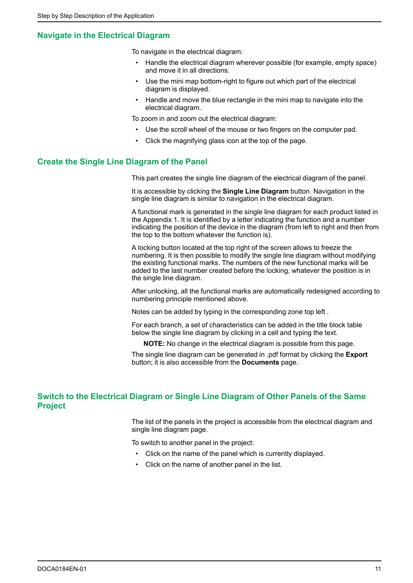## <span id="page-10-0"></span>**Navigate in the Electrical Diagram**

To navigate in the electrical diagram:

- Handle the electrical diagram wherever possible (for example, empty space) and move it in all directions.
- Use the mini map bottom-right to figure out which part of the electrical diagram is displayed.
- Handle and move the blue rectangle in the mini map to navigate into the electrical diagram.

To zoom in and zoom out the electrical diagram:

- Use the scroll wheel of the mouse or two fingers on the computer pad.
- Click the magnifying glass icon at the top of the page.

## <span id="page-10-1"></span>**Create the Single Line Diagram of the Panel**

This part creates the single line diagram of the electrical diagram of the panel.

It is accessible by clicking the **Single Line Diagram** button. Navigation in the single line diagram is similar to navigation in the electrical diagram.

A functional mark is generated in the single line diagram for each product listed in the Appendix 1. It is identified by a letter indicating the function and a number indicating the position of the device in the diagram (from left to right and then from the top to the bottom whatever the function is).

A locking button located at the top right of the screen allows to freeze the numbering. It is then possible to modify the single line diagram without modifying the existing functional marks. The numbers of the new functional marks will be added to the last number created before the locking, whatever the position is in the single line diagram.

After unlocking, all the functional marks are automatically redesigned according to numbering principle mentioned above.

Notes can be added by typing in the corresponding zone top left .

For each branch, a set of characteristics can be added in the title block table below the single line diagram by clicking in a cell and typing the text.

**NOTE:** No change in the electrical diagram is possible from this page.

The single line diagram can be generated in .pdf format by clicking the **Export** button; it is also accessible from the **Documents** page.

## <span id="page-10-2"></span>**Switch to the Electrical Diagram or Single Line Diagram of Other Panels of the Same Project**

The list of the panels in the project is accessible from the electrical diagram and single line diagram page.

To switch to another panel in the project:

- Click on the name of the panel which is currently displayed.
- Click on the name of another panel in the list.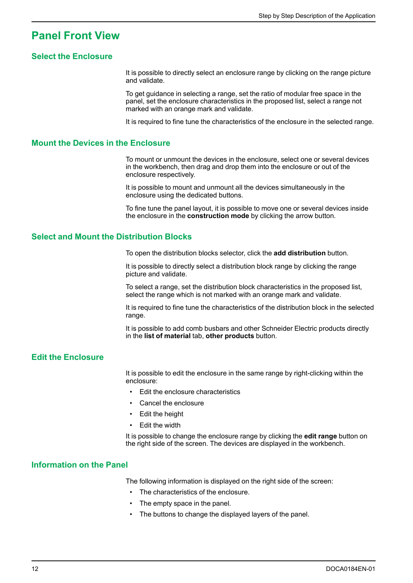## <span id="page-11-0"></span>**Panel Front View**

### <span id="page-11-1"></span>**Select the Enclosure**

It is possible to directly select an enclosure range by clicking on the range picture and validate.

To get guidance in selecting a range, set the ratio of modular free space in the panel, set the enclosure characteristics in the proposed list, select a range not marked with an orange mark and validate.

It is required to fine tune the characteristics of the enclosure in the selected range.

#### <span id="page-11-2"></span>**Mount the Devices in the Enclosure**

To mount or unmount the devices in the enclosure, select one or several devices in the workbench, then drag and drop them into the enclosure or out of the enclosure respectively.

It is possible to mount and unmount all the devices simultaneously in the enclosure using the dedicated buttons.

To fine tune the panel layout, it is possible to move one or several devices inside the enclosure in the **construction mode** by clicking the arrow button.

### <span id="page-11-3"></span>**Select and Mount the Distribution Blocks**

To open the distribution blocks selector, click the **add distribution** button.

It is possible to directly select a distribution block range by clicking the range picture and validate.

To select a range, set the distribution block characteristics in the proposed list, select the range which is not marked with an orange mark and validate.

It is required to fine tune the characteristics of the distribution block in the selected range.

It is possible to add comb busbars and other Schneider Electric products directly in the **list of material** tab, **other products** button.

### <span id="page-11-4"></span>**Edit the Enclosure**

It is possible to edit the enclosure in the same range by right-clicking within the enclosure:

- Edit the enclosure characteristics
- Cancel the enclosure
- Edit the height
- Edit the width

It is possible to change the enclosure range by clicking the **edit range** button on the right side of the screen. The devices are displayed in the workbench.

#### <span id="page-11-5"></span>**Information on the Panel**

The following information is displayed on the right side of the screen:

- The characteristics of the enclosure.
- The empty space in the panel.
- The buttons to change the displayed layers of the panel.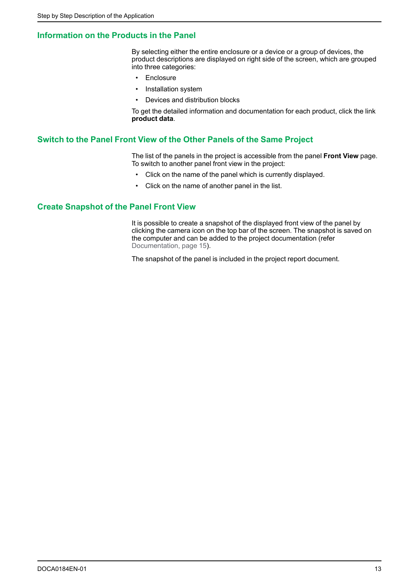## <span id="page-12-0"></span>**Information on the Products in the Panel**

By selecting either the entire enclosure or a device or a group of devices, the product descriptions are displayed on right side of the screen, which are grouped into three categories:

- **Enclosure**
- Installation system
- Devices and distribution blocks

To get the detailed information and documentation for each product, click the link **product data**.

#### <span id="page-12-1"></span>**Switch to the Panel Front View of the Other Panels of the Same Project**

The list of the panels in the project is accessible from the panel **Front View** page. To switch to another panel front view in the project:

- Click on the name of the panel which is currently displayed.
- Click on the name of another panel in the list.

#### <span id="page-12-2"></span>**Create Snapshot of the Panel Front View**

It is possible to create a snapshot of the displayed front view of the panel by clicking the camera icon on the top bar of the screen. The snapshot is saved on the computer and can be added to the project documentation (refer [Documentation,](#page-14-0) page 15).

The snapshot of the panel is included in the project report document.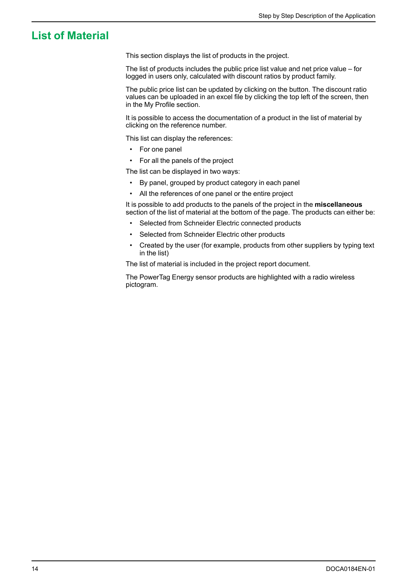## <span id="page-13-0"></span>**List of Material**

This section displays the list of products in the project.

The list of products includes the public price list value and net price value – for logged in users only, calculated with discount ratios by product family.

The public price list can be updated by clicking on the button. The discount ratio values can be uploaded in an excel file by clicking the top left of the screen, then in the My Profile section.

It is possible to access the documentation of a product in the list of material by clicking on the reference number.

This list can display the references:

- For one panel
- For all the panels of the project

The list can be displayed in two ways:

- By panel, grouped by product category in each panel
- All the references of one panel or the entire project

It is possible to add products to the panels of the project in the **miscellaneous** section of the list of material at the bottom of the page. The products can either be:

- Selected from Schneider Electric connected products
- Selected from Schneider Electric other products
- Created by the user (for example, products from other suppliers by typing text in the list)

The list of material is included in the project report document.

The PowerTag Energy sensor products are highlighted with a radio wireless pictogram.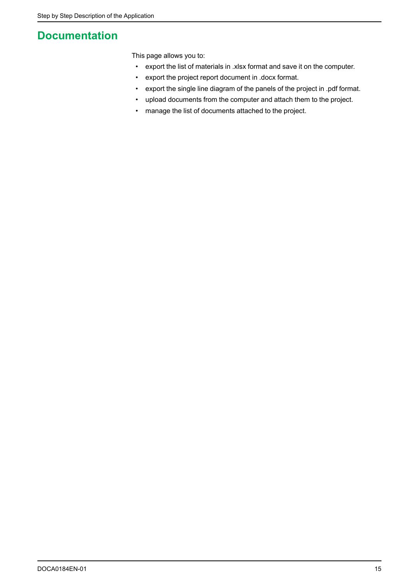## <span id="page-14-0"></span>**Documentation**

This page allows you to:

- export the list of materials in .xlsx format and save it on the computer.
- export the project report document in .docx format.
- export the single line diagram of the panels of the project in .pdf format.
- upload documents from the computer and attach them to the project.
- manage the list of documents attached to the project.